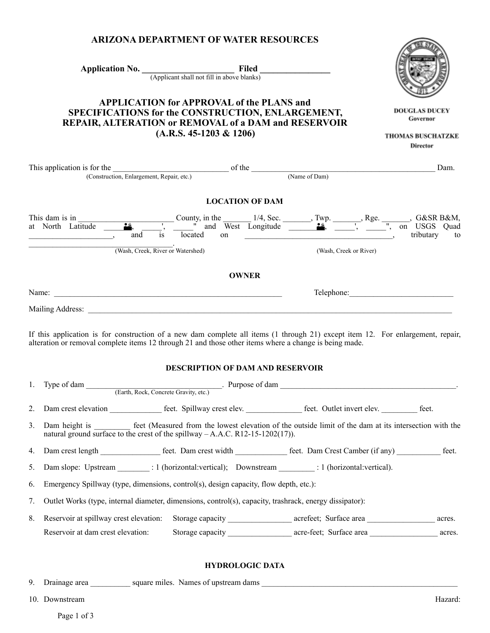| <b>ARIZONA DEPARTMENT OF WATER RESOURCES</b>                                                                                                                                                                                                                             |                                                                                            |                        |                                                                                                       |
|--------------------------------------------------------------------------------------------------------------------------------------------------------------------------------------------------------------------------------------------------------------------------|--------------------------------------------------------------------------------------------|------------------------|-------------------------------------------------------------------------------------------------------|
|                                                                                                                                                                                                                                                                          | Application No. $\frac{\text{Filed}}{\text{(Application shall not fill in above blanks)}}$ |                        |                                                                                                       |
|                                                                                                                                                                                                                                                                          |                                                                                            |                        |                                                                                                       |
| <b>APPLICATION for APPROVAL of the PLANS and</b><br>SPECIFICATIONS for the CONSTRUCTION, ENLARGEMENT,<br>REPAIR, ALTERATION or REMOVAL of a DAM and RESERVOIR<br>$(A.R.S. 45-1203 \& 1206)$                                                                              | <b>DOUGLAS DUCEY</b><br>Governor<br><b>THOMAS BUSCHATZKE</b>                               |                        |                                                                                                       |
|                                                                                                                                                                                                                                                                          |                                                                                            |                        | Director                                                                                              |
| This application is for the $\overline{\phantom{a}}$ (Construction, Enlargement, Repair, etc.) (Name of Dam)                                                                                                                                                             |                                                                                            |                        | Dam.                                                                                                  |
|                                                                                                                                                                                                                                                                          |                                                                                            |                        |                                                                                                       |
|                                                                                                                                                                                                                                                                          | <b>LOCATION OF DAM</b>                                                                     |                        |                                                                                                       |
| This dam is in County, in the $\frac{1}{4}$ , Sec. Twp. Twp. Rge. $\frac{1}{2}$ , G&SR B&M, at North Latitude $\frac{1}{2}$ , $\frac{1}{2}$ , $\frac{1}{2}$ and West Longitude $\frac{1}{2}$ . Twp. Rge. $\frac{1}{2}$ , on USGS Quad<br>and<br>$\overline{\phantom{a}}$ | located                                                                                    |                        |                                                                                                       |
|                                                                                                                                                                                                                                                                          | (Wash, Creek, River or Watershed)                                                          | (Wash, Creek or River) |                                                                                                       |
|                                                                                                                                                                                                                                                                          | <b>OWNER</b>                                                                               |                        |                                                                                                       |
|                                                                                                                                                                                                                                                                          |                                                                                            |                        |                                                                                                       |
|                                                                                                                                                                                                                                                                          |                                                                                            |                        |                                                                                                       |
| If this application is for construction of a new dam complete all items (1 through 21) except item 12. For enlargement, repair,<br>alteration or removal complete items 12 through 21 and those other items where a change is being made.                                | <b>DESCRIPTION OF DAM AND RESERVOIR</b>                                                    |                        |                                                                                                       |
| 1. Type of dam                                                                                                                                                                                                                                                           |                                                                                            |                        |                                                                                                       |
| Dam crest elevation _____________ feet. Spillway crest elev. _____________ feet. Outlet invert elev. ________ feet.<br>2.                                                                                                                                                |                                                                                            |                        |                                                                                                       |
| 3.<br>Dam height is<br>natural ground surface to the crest of the spillway $-A.A.C. R12-15-1202(17)$ .                                                                                                                                                                   |                                                                                            |                        | feet (Measured from the lowest elevation of the outside limit of the dam at its intersection with the |
| 4.                                                                                                                                                                                                                                                                       |                                                                                            |                        |                                                                                                       |
| Dam slope: Upstream _________: 1 (horizontal:vertical); Downstream _________: 1 (horizontal:vertical).<br>5.                                                                                                                                                             |                                                                                            |                        |                                                                                                       |
| Emergency Spillway (type, dimensions, control(s), design capacity, flow depth, etc.):<br>6.                                                                                                                                                                              |                                                                                            |                        |                                                                                                       |
| Outlet Works (type, internal diameter, dimensions, control(s), capacity, trashrack, energy dissipator):<br>7.                                                                                                                                                            |                                                                                            |                        |                                                                                                       |
| 8.<br>Reservoir at spillway crest elevation:                                                                                                                                                                                                                             |                                                                                            |                        |                                                                                                       |
| Reservoir at dam crest elevation:                                                                                                                                                                                                                                        |                                                                                            |                        | acres.                                                                                                |
|                                                                                                                                                                                                                                                                          | <b>HYDROLOGIC DATA</b>                                                                     |                        |                                                                                                       |

**ARIZONA DEPARTMENT OF WATER RESOURCES**

9. Drainage area \_\_\_\_\_\_\_\_\_\_ square miles. Names of upstream dams \_\_\_\_\_\_\_\_\_\_\_\_\_\_\_\_\_\_\_\_\_\_\_\_\_\_\_\_\_\_\_\_\_\_\_\_\_\_\_\_\_\_\_\_\_\_\_\_\_

10. Downstream Hazard: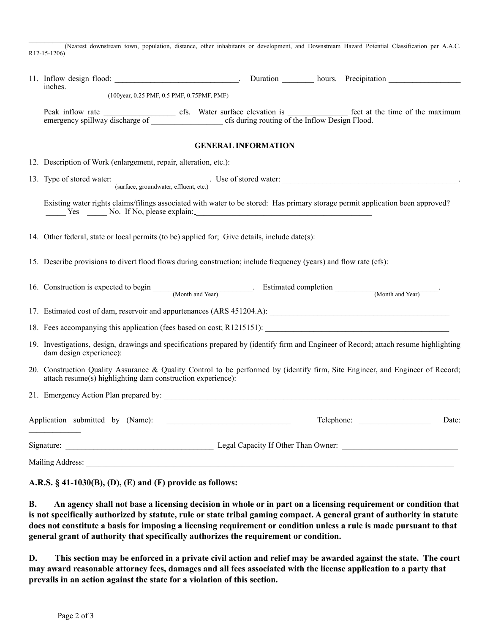$\mathcal{L}_\mathcal{L} = \{ \mathcal{L}_\mathcal{L} = \{ \mathcal{L}_\mathcal{L} = \{ \mathcal{L}_\mathcal{L} = \{ \mathcal{L}_\mathcal{L} = \{ \mathcal{L}_\mathcal{L} = \{ \mathcal{L}_\mathcal{L} = \{ \mathcal{L}_\mathcal{L} = \{ \mathcal{L}_\mathcal{L} = \{ \mathcal{L}_\mathcal{L} = \{ \mathcal{L}_\mathcal{L} = \{ \mathcal{L}_\mathcal{L} = \{ \mathcal{L}_\mathcal{L} = \{ \mathcal{L}_\mathcal{L} = \{ \mathcal{L}_\mathcal{$ (Nearest downstream town, population, distance, other inhabitants or development, and Downstream Hazard Potential Classification per A.A.C. R12-15-1206)

| inches.                                                                                                                                                                                       |  |  |  |  |
|-----------------------------------------------------------------------------------------------------------------------------------------------------------------------------------------------|--|--|--|--|
| (100year, 0.25 PMF, 0.5 PMF, 0.75PMF, PMF)                                                                                                                                                    |  |  |  |  |
|                                                                                                                                                                                               |  |  |  |  |
| <b>GENERAL INFORMATION</b>                                                                                                                                                                    |  |  |  |  |
| 12. Description of Work (enlargement, repair, alteration, etc.):                                                                                                                              |  |  |  |  |
|                                                                                                                                                                                               |  |  |  |  |
| Existing water rights claims/filings associated with water to be stored: Has primary storage permit application been approved?<br>Yes No. If No, please explain:                              |  |  |  |  |
| 14. Other federal, state or local permits (to be) applied for; Give details, include date(s):                                                                                                 |  |  |  |  |
| 15. Describe provisions to divert flood flows during construction; include frequency (years) and flow rate (cfs):                                                                             |  |  |  |  |
| 16. Construction is expected to begin (Month and Year) Estimated completion (Month and Year)                                                                                                  |  |  |  |  |
|                                                                                                                                                                                               |  |  |  |  |
|                                                                                                                                                                                               |  |  |  |  |
| 19. Investigations, design, drawings and specifications prepared by (identify firm and Engineer of Record; attach resume highlighting<br>dam design experience):                              |  |  |  |  |
| 20. Construction Quality Assurance & Quality Control to be performed by (identify firm, Site Engineer, and Engineer of Record;<br>attach resume(s) highlighting dam construction experience): |  |  |  |  |
|                                                                                                                                                                                               |  |  |  |  |
| Telephone:<br>Date:                                                                                                                                                                           |  |  |  |  |
|                                                                                                                                                                                               |  |  |  |  |
| Mailing Address:                                                                                                                                                                              |  |  |  |  |

## **A.R.S. § 41-1030(B), (D), (E) and (F) provide as follows:**

B. An agency shall not base a licensing decision in whole or in part on a licensing requirement or condition that is not specifically authorized by statute, rule or state tribal gaming compact. A general grant of authority in statute does not constitute a basis for imposing a licensing requirement or condition unless a rule is made pursuant to that **general grant of authority that specifically authorizes the requirement or condition.**

D. This section may be enforced in a private civil action and relief may be awarded against the state. The court may award reasonable attorney fees, damages and all fees associated with the license application to a party that **prevails in an action against the state for a violation of this section.**